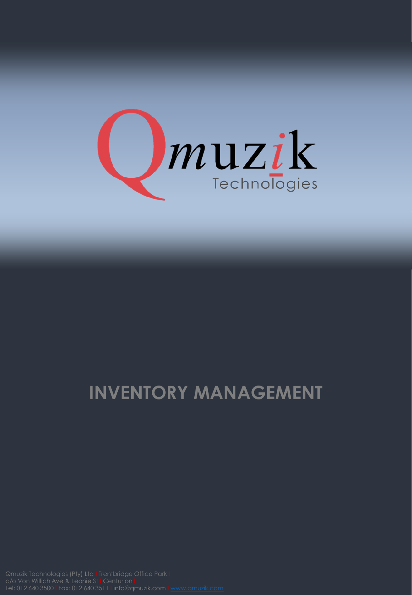

## **INVENTORY MANAGEMENT**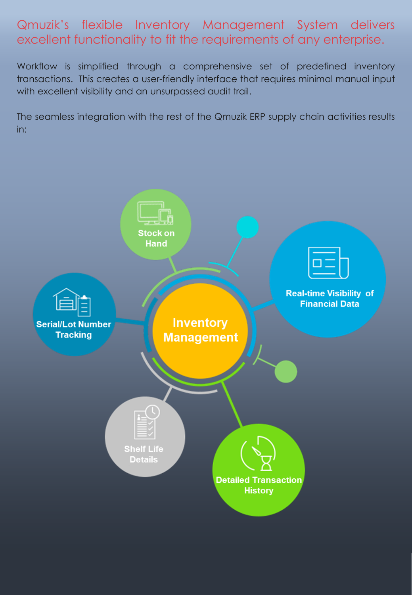## Qmuzik's flexible Inventory Management System delivers excellent functionality to fit the requirements of any enterprise.

Workflow is simplified through a comprehensive set of predefined inventory transactions. This creates a user-friendly interface that requires minimal manual input with excellent visibility and an unsurpassed audit trail.

The seamless integration with the rest of the Qmuzik ERP supply chain activities results in: